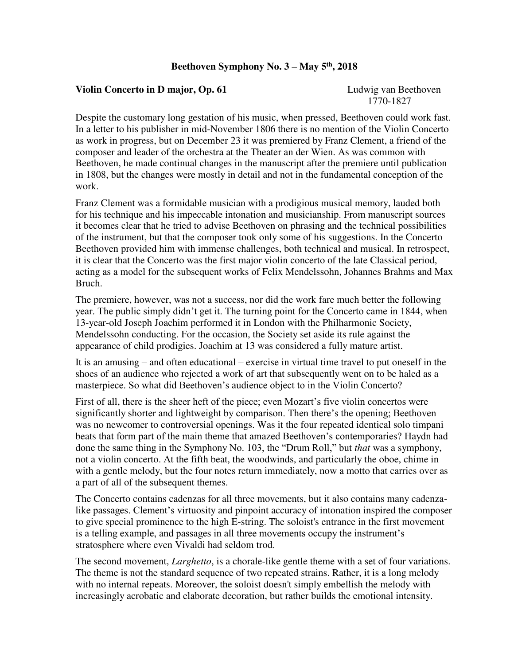## **Beethoven Symphony No. 3 – May 5th, 2018**

## **Violin Concerto in D major, Op. 61** Ludwig van Beethoven

1770-1827

Despite the customary long gestation of his music, when pressed, Beethoven could work fast. In a letter to his publisher in mid-November 1806 there is no mention of the Violin Concerto as work in progress, but on December 23 it was premiered by Franz Clement, a friend of the composer and leader of the orchestra at the Theater an der Wien. As was common with Beethoven, he made continual changes in the manuscript after the premiere until publication in 1808, but the changes were mostly in detail and not in the fundamental conception of the work.

Franz Clement was a formidable musician with a prodigious musical memory, lauded both for his technique and his impeccable intonation and musicianship. From manuscript sources it becomes clear that he tried to advise Beethoven on phrasing and the technical possibilities of the instrument, but that the composer took only some of his suggestions. In the Concerto Beethoven provided him with immense challenges, both technical and musical. In retrospect, it is clear that the Concerto was the first major violin concerto of the late Classical period, acting as a model for the subsequent works of Felix Mendelssohn, Johannes Brahms and Max Bruch.

The premiere, however, was not a success, nor did the work fare much better the following year. The public simply didn't get it. The turning point for the Concerto came in 1844, when 13-year-old Joseph Joachim performed it in London with the Philharmonic Society, Mendelssohn conducting. For the occasion, the Society set aside its rule against the appearance of child prodigies. Joachim at 13 was considered a fully mature artist.

It is an amusing – and often educational – exercise in virtual time travel to put oneself in the shoes of an audience who rejected a work of art that subsequently went on to be haled as a masterpiece. So what did Beethoven's audience object to in the Violin Concerto?

First of all, there is the sheer heft of the piece; even Mozart's five violin concertos were significantly shorter and lightweight by comparison. Then there's the opening; Beethoven was no newcomer to controversial openings. Was it the four repeated identical solo timpani beats that form part of the main theme that amazed Beethoven's contemporaries? Haydn had done the same thing in the Symphony No. 103, the "Drum Roll," but *that* was a symphony, not a violin concerto. At the fifth beat, the woodwinds, and particularly the oboe, chime in with a gentle melody, but the four notes return immediately, now a motto that carries over as a part of all of the subsequent themes.

The Concerto contains cadenzas for all three movements, but it also contains many cadenzalike passages. Clement's virtuosity and pinpoint accuracy of intonation inspired the composer to give special prominence to the high E-string. The soloist's entrance in the first movement is a telling example, and passages in all three movements occupy the instrument's stratosphere where even Vivaldi had seldom trod.

The second movement, *Larghetto*, is a chorale-like gentle theme with a set of four variations. The theme is not the standard sequence of two repeated strains. Rather, it is a long melody with no internal repeats. Moreover, the soloist doesn't simply embellish the melody with increasingly acrobatic and elaborate decoration, but rather builds the emotional intensity.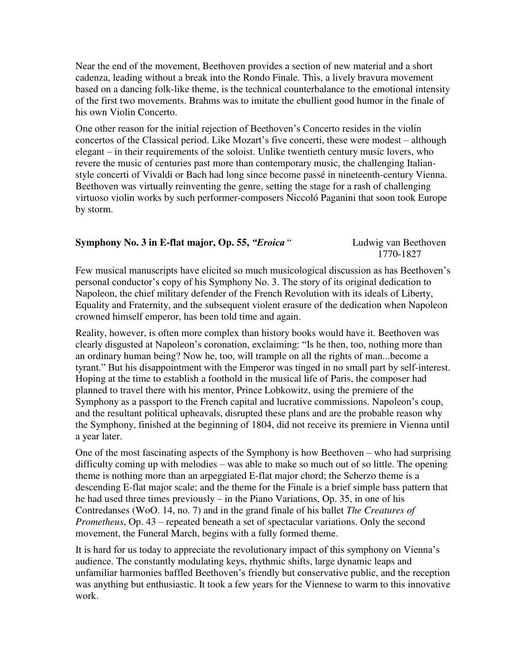Near the end of the movement, Beethoven provides a section of new material and a short cadenza, leading without a break into the Rondo Finale. This, a lively bravura movement based on a dancing folk-like theme, is the technical counterbalance to the emotional intensity of the first two movements. Brahms was to imitate the ebullient good humor in the finale of his own Violin Concerto.

One other reason for the initial rejection of Beethoven's Concerto resides in the violin concertos of the Classical period. Like Mozart's five concerti, these were modest – although elegant – in their requirements of the soloist. Unlike twentieth century music lovers, who revere the music of centuries past more than contemporary music, the challenging Italianstyle concerti of Vivaldi or Bach had long since become passé in nineteenth-century Vienna. Beethoven was virtually reinventing the genre, setting the stage for a rash of challenging virtuoso violin works by such performer-composers Niccoló Paganini that soon took Europe by storm.

## **Symphony No. 3 in E-flat major, Op. 55, "***Eroica* **" Ludwig van Beethoven**

1770-1827

Few musical manuscripts have elicited so much musicological discussion as has Beethoven's personal conductor's copy of his Symphony No. 3. The story of its original dedication to Napoleon, the chief military defender of the French Revolution with its ideals of Liberty, Equality and Fraternity, and the subsequent violent erasure of the dedication when Napoleon crowned himself emperor, has been told time and again.

Reality, however, is often more complex than history books would have it. Beethoven was clearly disgusted at Napoleon's coronation, exclaiming: "Is he then, too, nothing more than an ordinary human being? Now he, too, will trample on all the rights of man...become a tyrant." But his disappointment with the Emperor was tinged in no small part by self-interest. Hoping at the time to establish a foothold in the musical life of Paris, the composer had planned to travel there with his mentor, Prince Lobkowitz, using the premiere of the Symphony as a passport to the French capital and lucrative commissions. Napoleon's coup, and the resultant political upheavals, disrupted these plans and are the probable reason why the Symphony, finished at the beginning of 1804, did not receive its premiere in Vienna until a year later.

One of the most fascinating aspects of the Symphony is how Beethoven – who had surprising difficulty coming up with melodies – was able to make so much out of so little. The opening theme is nothing more than an arpeggiated E-flat major chord; the Scherzo theme is a descending E-flat major scale; and the theme for the Finale is a brief simple bass pattern that he had used three times previously – in the Piano Variations, Op. 35, in one of his Contredanses (WoO. 14, no. 7) and in the grand finale of his ballet *The Creatures of Prometheus*, Op. 43 – repeated beneath a set of spectacular variations. Only the second movement, the Funeral March, begins with a fully formed theme.

It is hard for us today to appreciate the revolutionary impact of this symphony on Vienna's audience. The constantly modulating keys, rhythmic shifts, large dynamic leaps and unfamiliar harmonies baffled Beethoven's friendly but conservative public, and the reception was anything but enthusiastic. It took a few years for the Viennese to warm to this innovative work.